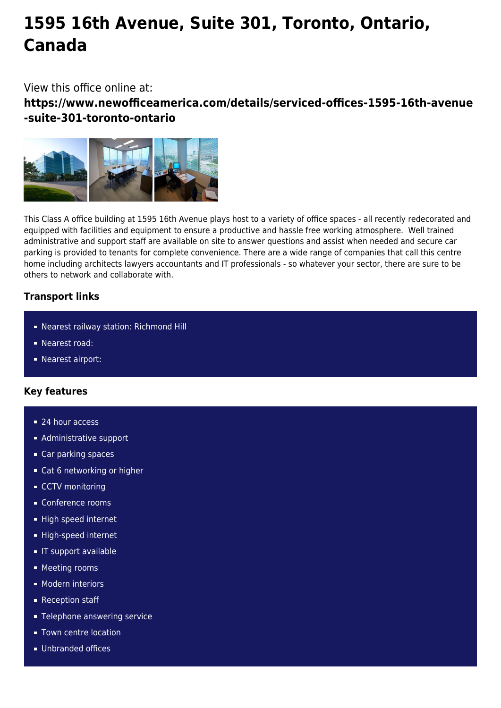# **1595 16th Avenue, Suite 301, Toronto, Ontario, Canada**

View this office online at:

**https://www.newofficeamerica.com/details/serviced-offices-1595-16th-avenue -suite-301-toronto-ontario**



This Class A office building at 1595 16th Avenue plays host to a variety of office spaces - all recently redecorated and equipped with facilities and equipment to ensure a productive and hassle free working atmosphere. Well trained administrative and support staff are available on site to answer questions and assist when needed and secure car parking is provided to tenants for complete convenience. There are a wide range of companies that call this centre home including architects lawyers accountants and IT professionals - so whatever your sector, there are sure to be others to network and collaborate with.

## **Transport links**

- Nearest railway station: Richmond Hill
- Nearest road:
- **Nearest airport:**

## **Key features**

- 24 hour access
- **Administrative support**
- Car parking spaces
- Cat 6 networking or higher
- CCTV monitoring
- Conference rooms
- High speed internet
- High-speed internet
- **IT support available**
- **Meeting rooms**
- **Modern interiors**
- Reception staff
- **Telephone answering service**
- **Town centre location**
- **Unbranded offices**